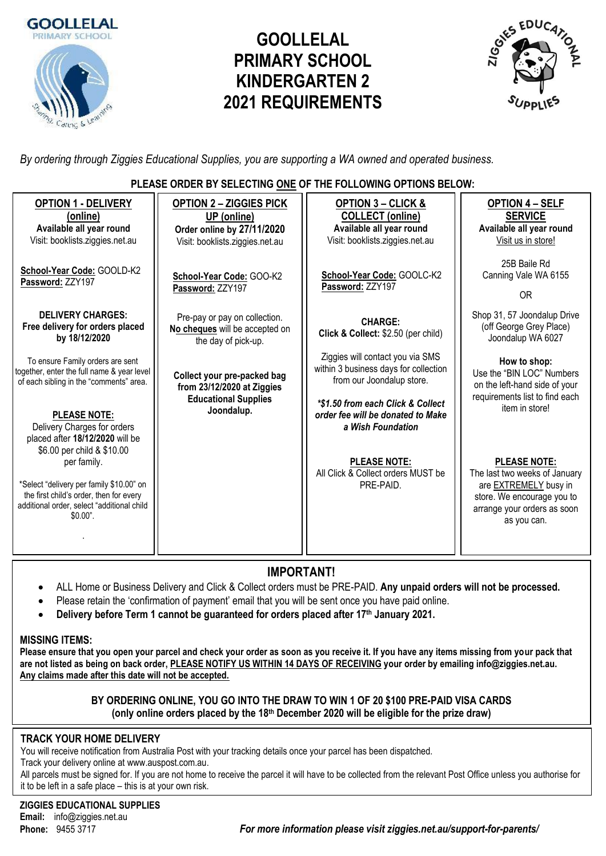

# **GOOLLELAL PRIMARY SCHOOL KINDERGARTEN 2 2021 REQUIREMENTS**



*By ordering through Ziggies Educational Supplies, you are supporting a WA owned and operated business.*

#### **PLEASE ORDER BY SELECTING ONE OF THE FOLLOWING OPTIONS BELOW:**

| <b>OPTION 1 - DELIVERY</b><br>(online)<br>Available all year round<br>Visit: booklists.ziggies.net.au                                                                                                                                                          | <b>OPTION 2 - ZIGGIES PICK</b><br>UP (online)<br>Order online by 27/11/2020<br>Visit: booklists.ziggies.net.au | <b>OPTION 3 - CLICK &amp;</b><br><b>COLLECT</b> (online)<br>Available all year round<br>Visit: booklists.ziggies.net.au                                                          | <b>OPTION 4 - SELF</b><br><b>SERVICE</b><br>Available all year round<br>Visit us in store!                                                                       |  |  |
|----------------------------------------------------------------------------------------------------------------------------------------------------------------------------------------------------------------------------------------------------------------|----------------------------------------------------------------------------------------------------------------|----------------------------------------------------------------------------------------------------------------------------------------------------------------------------------|------------------------------------------------------------------------------------------------------------------------------------------------------------------|--|--|
| School-Year Code: GOOLD-K2<br>Password: ZZY197                                                                                                                                                                                                                 | School-Year Code: GOO-K2<br>Password: ZZY197                                                                   | School-Year Code: GOOLC-K2<br>Password: ZZY197                                                                                                                                   | 25B Baile Rd<br>Canning Vale WA 6155<br><b>OR</b>                                                                                                                |  |  |
| <b>DELIVERY CHARGES:</b><br>Free delivery for orders placed<br>by 18/12/2020                                                                                                                                                                                   | Pre-pay or pay on collection.<br>No cheques will be accepted on<br>the day of pick-up.                         | <b>CHARGE:</b><br>Click & Collect: \$2.50 (per child)                                                                                                                            | Shop 31, 57 Joondalup Drive<br>(off George Grey Place)<br>Joondalup WA 6027                                                                                      |  |  |
| To ensure Family orders are sent<br>together, enter the full name & year level<br>of each sibling in the "comments" area.<br><b>PLEASE NOTE:</b>                                                                                                               | Collect your pre-packed bag<br>from 23/12/2020 at Ziggies<br><b>Educational Supplies</b><br>Joondalup.         | Ziggies will contact you via SMS<br>within 3 business days for collection<br>from our Joondalup store.<br>*\$1.50 from each Click & Collect<br>order fee will be donated to Make | How to shop:<br>Use the "BIN LOC" Numbers<br>on the left-hand side of your<br>requirements list to find each<br>item in store!                                   |  |  |
| Delivery Charges for orders<br>placed after 18/12/2020 will be<br>\$6.00 per child & \$10.00<br>per family.<br>*Select "delivery per family \$10.00" on<br>the first child's order, then for every<br>additional order, select "additional child<br>$$0.00$ ". |                                                                                                                | a Wish Foundation<br><b>PLEASE NOTE:</b><br>All Click & Collect orders MUST be<br>PRE-PAID.                                                                                      | <b>PLEASE NOTE:</b><br>The last two weeks of January<br>are <b>EXTREMELY</b> busy in<br>store. We encourage you to<br>arrange your orders as soon<br>as you can. |  |  |

# **IMPORTANT!**

- ALL Home or Business Delivery and Click & Collect orders must be PRE-PAID. **Any unpaid orders will not be processed.**
- Please retain the 'confirmation of payment' email that you will be sent once you have paid online.
- **Delivery before Term 1 cannot be guaranteed for orders placed after 17th January 2021.**

## **MISSING ITEMS:**

**Please ensure that you open your parcel and check your order as soon as you receive it. If you have any items missing from your pack that are not listed as being on back order, PLEASE NOTIFY US WITHIN 14 DAYS OF RECEIVING your order by emailing info@ziggies.net.au. Any claims made after this date will not be accepted.**

## **BY ORDERING ONLINE, YOU GO INTO THE DRAW TO WIN 1 OF 20 \$100 PRE-PAID VISA CARDS (only online orders placed by the 18th December 2020 will be eligible for the prize draw)**

# **TRACK YOUR HOME DELIVERY**

You will receive notification from Australia Post with your tracking details once your parcel has been dispatched.

Track your delivery online at [www.auspost.com.au.](http://www.auspost.com.au/)

All parcels must be signed for. If you are not home to receive the parcel it will have to be collected from the relevant Post Office unless you authorise for it to be left in a safe place – this is at your own risk.

**ZIGGIES EDUCATIONAL SUPPLIES Email:** info@ziggies.net.au

**Phone:** 9455 3717 *For more information please visit ziggies.net.au/support-for-parents/*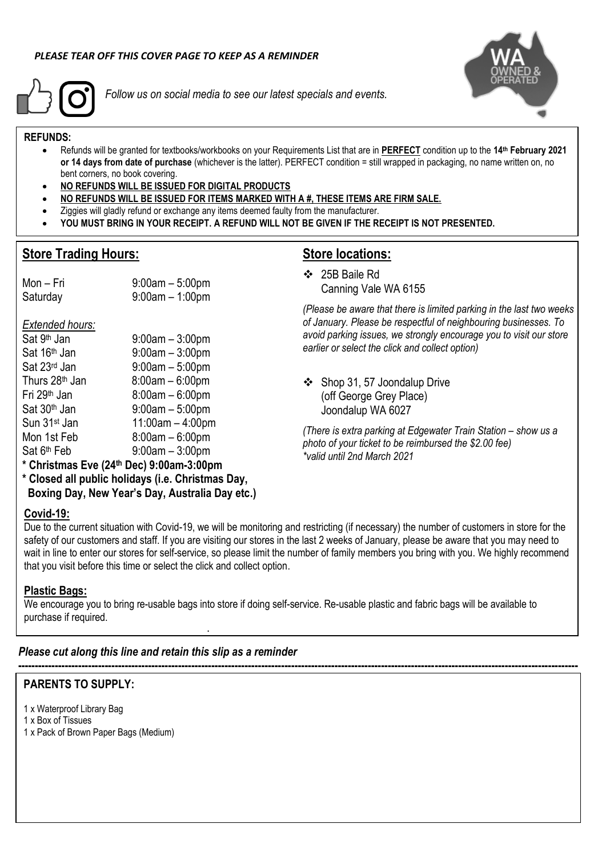

*Follow us on social media to see our latest specials and events.*



#### **REFUNDS:**

- Refunds will be granted for textbooks/workbooks on your Requirements List that are in **PERFECT** condition up to the **14 th February 2021 or 14 days from date of purchase** (whichever is the latter). PERFECT condition = still wrapped in packaging, no name written on, no bent corners, no book covering.
- **NO REFUNDS WILL BE ISSUED FOR DIGITAL PRODUCTS**
- **NO REFUNDS WILL BE ISSUED FOR ITEMS MARKED WITH A #, THESE ITEMS ARE FIRM SALE.**
- Ziggies will gladly refund or exchange any items deemed faulty from the manufacturer.
- **YOU MUST BRING IN YOUR RECEIPT. A REFUND WILL NOT BE GIVEN IF THE RECEIPT IS NOT PRESENTED.**

## **Store Trading Hours:**

# **Store locations:**

Mon – Fri 9:00am – 5:00pm Saturday 9:00am – 1:00pm

*Extended hours:*

| Sat 9 <sup>th</sup> Jan    | $9:00am - 3:00pm$  |
|----------------------------|--------------------|
| Sat 16th Jan               | $9:00am - 3:00pm$  |
| Sat 23rd Jan               | $9:00am - 5:00pm$  |
| Thurs 28 <sup>th</sup> Jan | $8:00am - 6:00pm$  |
| Fri 29 <sup>th</sup> Jan   | $8:00am - 6:00pm$  |
| Sat 30 <sup>th</sup> Jan   | $9:00am - 5:00pm$  |
| Sun 31 <sup>st</sup> Jan   | $11:00am - 4:00pm$ |
| Mon 1st Feb                | $8:00am - 6:00pm$  |
| Sat 6 <sup>th</sup> Feb    | $9:00am - 3:00pm$  |
|                            |                    |

❖ 25B Baile Rd Canning Vale WA 6155

*(Please be aware that there is limited parking in the last two weeks of January. Please be respectful of neighbouring businesses. To avoid parking issues, we strongly encourage you to visit our store earlier or select the click and collect option)*

❖ Shop 31, 57 Joondalup Drive (off George Grey Place) Joondalup WA 6027

*(There is extra parking at Edgewater Train Station – show us a photo of your ticket to be reimbursed the \$2.00 fee) \*valid until 2nd March 2021*

**\* Christmas Eve (24th Dec) 9:00am-3:00pm**

**\* Closed all public holidays (i.e. Christmas Day, Boxing Day, New Year's Day, Australia Day etc.)**

#### **Covid-19:**

Due to the current situation with Covid-19, we will be monitoring and restricting (if necessary) the number of customers in store for the safety of our customers and staff. If you are visiting our stores in the last 2 weeks of January, please be aware that you may need to wait in line to enter our stores for self-service, so please limit the number of family members you bring with you. We highly recommend that you visit before this time or select the click and collect option.

**------------------------------------------------------------------------------------------------------------------------------------------------------------------------**

#### **Plastic Bags:**

We encourage you to bring re-usable bags into store if doing self-service. Re-usable plastic and fabric bags will be available to purchase if required.

*Please cut along this line and retain this slip as a reminder*

**.**

#### **PARENTS TO SUPPLY:**

- 1 x Waterproof Library Bag
- 1 x Box of Tissues
- 1 x Pack of Brown Paper Bags (Medium)